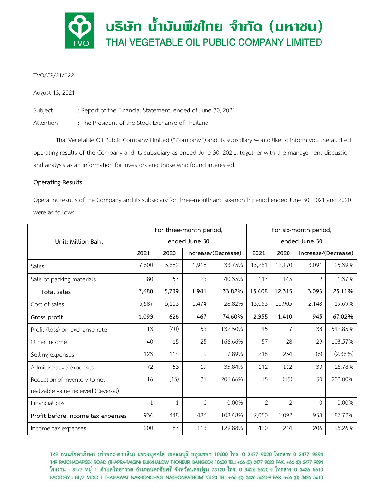

# TVO/CP/21/022

August 13, 2021

Subject : Report of the Financial Statement, ended of June 30, 2021

Attention : The President of the Stock Exchange of Thailand

Thai Vegetable Oil Public Company Limited ("Company") and its subsidiary would like to inform you the audited operating results of the Company and its subsidiary as ended June 30, 2021, together with the management discussion and analysis as an information for investors and those who found interested.

# **Operating Results**

Operating results of the Company and its subsidiary for three-month and six-month period ended June 30, 2021 and 2020 were as follows;

|                                      | For three-month period, |       |                     |         | For six-month period, |                |                     |            |
|--------------------------------------|-------------------------|-------|---------------------|---------|-----------------------|----------------|---------------------|------------|
| Unit: Million Baht                   | ended June 30           |       |                     |         | ended June 30         |                |                     |            |
|                                      | 2021                    | 2020  | Increase/(Decrease) |         | 2021                  | 2020           | Increase/(Decrease) |            |
| Sales                                | 7,600                   | 5,682 | 1,918               | 33.75%  | 15,261                | 12,170         | 3,091               | 25.39%     |
| Sale of packing materials            | 80                      | 57    | 23                  | 40.35%  | 147                   | 145            | $\overline{2}$      | 1.37%      |
| Total sales                          | 7,680                   | 5,739 | 1,941               | 33.82%  | 15,408                | 12,315         | 3,093               | 25.11%     |
| Cost of sales                        | 6,587                   | 5,113 | 1,474               | 28.82%  | 13,053                | 10,905         | 2,148               | 19.69%     |
| Gross profit                         | 1,093                   | 626   | 467                 | 74.60%  | 2,355                 | 1,410          | 945                 | 67.02%     |
| Profit (loss) on exchange rate       | 13                      | (40)  | 53                  | 132.50% | 45                    | $\overline{7}$ | 38                  | 542.85%    |
| Other income                         | 40                      | 15    | 25                  | 166.66% | 57                    | 28             | 29                  | 103.57%    |
| Selling expenses                     | 123                     | 114   | 9                   | 7.89%   | 248                   | 254            | (6)                 | $(2.36\%)$ |
| Administrative expenses              | 72                      | 53    | 19                  | 35.84%  | 142                   | 112            | 30                  | 26.78%     |
| Reduction of inventory to net        | 16                      | (15)  | 31                  | 206.66% | 15                    | (15)           | 30                  | 200.00%    |
| realizable value received (Reversal) |                         |       |                     |         |                       |                |                     |            |
| Financial cost                       | 1                       | 1     | 0                   | 0.00%   | $\overline{2}$        | $\overline{2}$ | $\Omega$            | 0.00%      |
| Profit before income tax expenses    | 934                     | 448   | 486                 | 108.48% | 2,050                 | 1,092          | 958                 | 87.72%     |
| Income tax expenses                  | 200                     | 87    | 113                 | 129.88% | 420                   | 214            | 206                 | 96.26%     |

149 ถนนรัชดาภิเษก (ท่าพระ-ตากสิน) แขวงบุคคโล เขตธนบุรี กรุงเทพฯ 10600 โทร. 0 2477 9020 โทรสาร 0 2477 9894 149 RATCHADAPISEK ROAD (THAPRA-TAKSIN) BUKKHALOW THONBURI BANGKOK 10600 TEL: +66 (0) 2477 9020 FAX. +66 (0) 2477 9894 โรงงาน : 81/7 หมู่ 1 ตำบลไทยาวาส อำเภอนครชัยศรี จังหวัดนครปฐม 73120 โทร. 0 3426 5620-9 โทรสาร 0 3426 5610 FACTORY: 81/7 MOO 1 THAIYAWAT NAKHONCHAISI NAKHONPATHOM 73120 TEL: +66 (0) 3426 5620-9 FAX. +66 (0) 3426 5610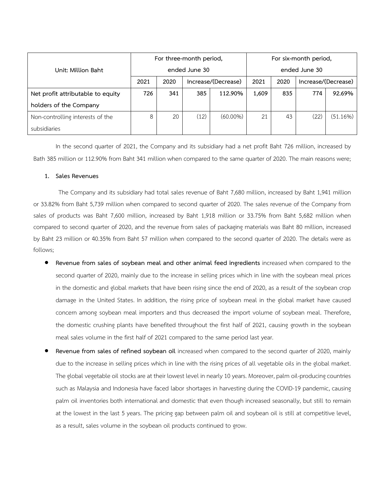|                                   | For three-month period, |      |                     |             | For six-month period, |      |                     |          |
|-----------------------------------|-------------------------|------|---------------------|-------------|-----------------------|------|---------------------|----------|
| Unit: Million Baht                | ended June 30           |      |                     |             | ended June 30         |      |                     |          |
|                                   | 2021                    | 2020 | Increase/(Decrease) |             | 2021                  | 2020 | Increase/(Decrease) |          |
| Net profit attributable to equity | 726                     | 341  | 385                 | 112.90%     | 1,609                 | 835  | 774                 | 92.69%   |
| holders of the Company            |                         |      |                     |             |                       |      |                     |          |
| Non-controlling interests of the  | 8                       | 20   | (12)                | $(60.00\%)$ | 21                    | 43   | (22)                | (51.16%) |
| subsidiaries                      |                         |      |                     |             |                       |      |                     |          |

In the second quarter of 2021, the Company and its subsidiary had a net profit Baht 726 million, increased by Bath 385 million or 112.90% from Baht 341 million when compared to the same quarter of 2020. The main reasons were;

## **1. Sales Revenues**

The Company and its subsidiary had total sales revenue of Baht 7,680 million, increased by Baht 1,941 million or 33.82% from Baht 5,739 million when compared to second quarter of 2020. The sales revenue of the Company from sales of products was Baht 7,600 million, increased by Baht 1,918 million or 33.75% from Baht 5,682 million when compared to second quarter of 2020, and the revenue from sales of packaging materials was Baht 80 million, increased by Baht 23 million or 40.35% from Baht 57 million when compared to the second quarter of 2020. The details were as follows;

- **Revenue from sales of soybean meal and other animal feed ingredients** increased when compared to the second quarter of 2020, mainly due to the increase in selling prices which in line with the soybean meal prices in the domestic and global markets that have been rising since the end of 2020, as a result of the soybean crop damage in the United States. In addition, the rising price of soybean meal in the global market have caused concern among soybean meal importers and thus decreased the import volume of soybean meal. Therefore, the domestic crushing plants have benefited throughout the first half of 2021, causing growth in the soybean meal sales volume in the first half of 2021 compared to the same period last year.
- **Revenue from sales of refined soybean oil** increased when compared to the second quarter of 2020, mainly due to the increase in selling prices which in line with the rising prices of all vegetable oils in the global market. The global vegetable oil stocks are at their lowest level in nearly 10 years. Moreover, palm oil-producing countries such as Malaysia and Indonesia have faced labor shortages in harvesting during the COVID-19 pandemic, causing palm oil inventories both international and domestic that even though increased seasonally, but still to remain at the lowest in the last 5 years. The pricing gap between palm oil and soybean oil is still at competitive level, as a result, sales volume in the soybean oil products continued to grow.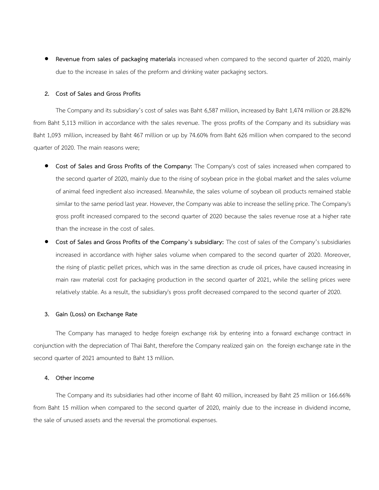• **Revenue from sales of packaging materials** increased when compared to the second quarter of 2020, mainly due to the increase in sales of the preform and drinking water packaging sectors.

### **2. Cost of Sales and Gross Profits**

The Company and its subsidiary's cost of sales was Baht 6,587 million, increased by Baht 1,474 million or 28.82% from Baht 5,113 million in accordance with the sales revenue. The gross profits of the Company and its subsidiary was Baht 1,093 million, increased by Baht 467 million or up by 74.60% from Baht 626 million when compared to the second quarter of 2020. The main reasons were;

- **Cost of Sales and Gross Profits of the Company:** The Company's cost of sales increased when compared to the second quarter of 2020, mainly due to the rising of soybean price in the global market and the sales volume of animal feed ingredient also increased. Meanwhile, the sales volume of soybean oil products remained stable similar to the same period last year. However, the Company was able to increase the selling price. The Company's gross profit increased compared to the second quarter of 2020 because the sales revenue rose at a higher rate than the increase in the cost of sales.
- **Cost of Sales and Gross Profits of the Company's subsidiary:** The cost of sales of the Company's subsidiaries increased in accordance with higher sales volume when compared to the second quarter of 2020. Moreover, the rising of plastic pellet prices, which was in the same direction as crude oil prices, have caused increasing in main raw material cost for packaging production in the second quarter of 2021, while the selling prices were relatively stable. As a result, the subsidiary's gross profit decreased compared to the second quarter of 2020.

#### **3. Gain (Loss) on Exchange Rate**

The Company has managed to hedge foreign exchange risk by entering into a forward exchange contract in conjunction with the depreciation of Thai Baht, therefore the Company realized gain on the foreign exchange rate in the second quarter of 2021 amounted to Baht 13 million.

## **4. Other income**

The Company and its subsidiaries had other income of Baht 40 million, increased by Baht 25 million or 166.66% from Baht 15 million when compared to the second quarter of 2020, mainly due to the increase in dividend income, the sale of unused assets and the reversal the promotional expenses.